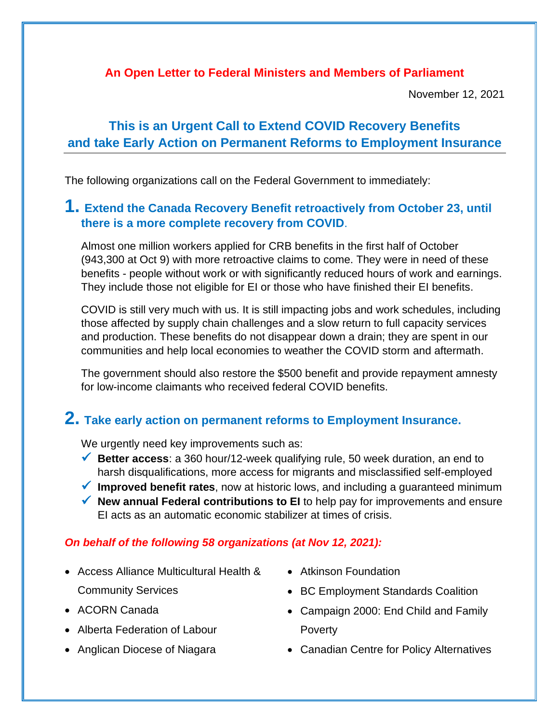### **An Open Letter to Federal Ministers and Members of Parliament**

November 12, 2021

# **This is an Urgent Call to Extend COVID Recovery Benefits and take Early Action on Permanent Reforms to Employment Insurance**

The following organizations call on the Federal Government to immediately:

## **1. Extend the Canada Recovery Benefit retroactively from October 23, until there is a more complete recovery from COVID**.

Almost one million workers applied for CRB benefits in the first half of October (943,300 at Oct 9) with more retroactive claims to come. They were in need of these benefits - people without work or with significantly reduced hours of work and earnings. They include those not eligible for EI or those who have finished their EI benefits.

COVID is still very much with us. It is still impacting jobs and work schedules, including those affected by supply chain challenges and a slow return to full capacity services and production. These benefits do not disappear down a drain; they are spent in our communities and help local economies to weather the COVID storm and aftermath.

The government should also restore the \$500 benefit and provide repayment amnesty for low-income claimants who received federal COVID benefits.

# **2. Take early action on permanent reforms to Employment Insurance.**

We urgently need key improvements such as:

- ✓ **Better access**: a 360 hour/12-week qualifying rule, 50 week duration, an end to harsh disqualifications, more access for migrants and misclassified self-employed
- ✓ **Improved benefit rates**, now at historic lows, and including a guaranteed minimum
- ✓ **New annual Federal contributions to EI** to help pay for improvements and ensure EI acts as an automatic economic stabilizer at times of crisis.

### *On behalf of the following 58 organizations (at Nov 12, 2021):*

- Access Alliance Multicultural Health & Community Services
- ACORN Canada
- Alberta Federation of Labour
- Anglican Diocese of Niagara
- Atkinson Foundation
- BC Employment Standards Coalition
- Campaign 2000: End Child and Family Poverty
- Canadian Centre for Policy Alternatives